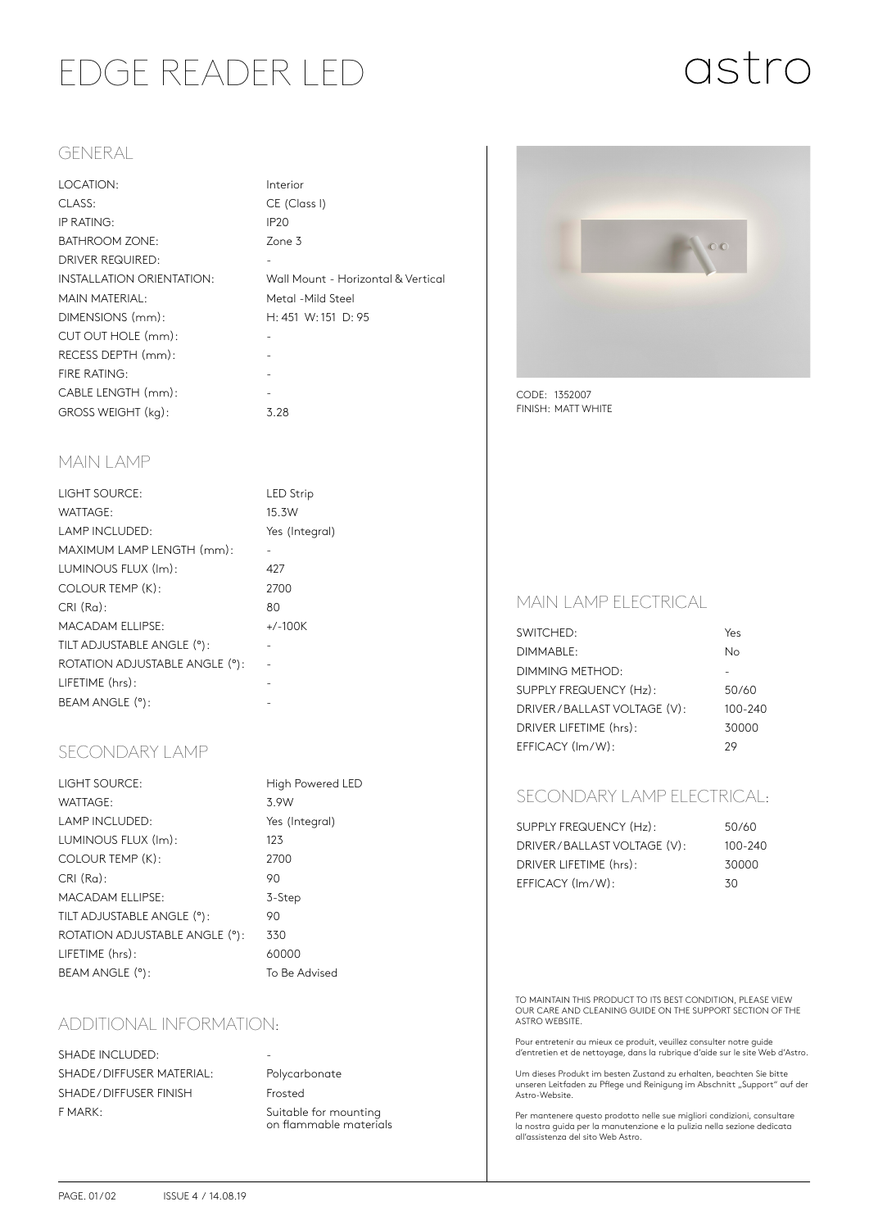# EDGE READER LED

Interior

# astro

#### GENERAL

| LOCATION:                 | Inter       |
|---------------------------|-------------|
| CLASS:                    | CE (        |
| IP RATING:                | <b>IP20</b> |
| <b>BATHROOM ZONE:</b>     | Zone        |
| <b>DRIVER REQUIRED:</b>   |             |
| INSTALLATION ORIENTATION: | Wall        |
| <b>MAIN MATERIAL:</b>     | Meto        |
| DIMENSIONS (mm):          | H:4         |
| CUT OUT HOLE (mm):        |             |
| RECESS DEPTH (mm):        |             |
| <b>FIRE RATING:</b>       |             |
| CABLE LENGTH (mm):        |             |
| GROSS WEIGHT (kg):        | 3.28        |

# CE (Class I) Zone 3 Wall Mount - Horizontal & Vertical Metal -Mild Steel H: 451 W: 151 D: 95

#### MAIN LAMP

| LIGHT SOURCE:                  | <b>LED</b> Strip |
|--------------------------------|------------------|
| WATTAGE:                       | 15.3W            |
| LAMP INCLUDED:                 | Yes (Integral)   |
| MAXIMUM LAMP LENGTH (mm):      |                  |
| LUMINOUS FLUX (Im):            | 427              |
| COLOUR TEMP (K):               | 2700             |
| $CRI(Ra)$ :                    | 80               |
| <b>MACADAM ELLIPSE:</b>        | $+/-100K$        |
| TILT ADJUSTABLE ANGLE (°):     |                  |
| ROTATION ADJUSTABLE ANGLE (°): |                  |
| LIFETIME (hrs):                |                  |
| BEAM ANGLE (°):                |                  |

## SECONDARY LAMP

| <b>LIGHT SOURCE:</b>           | High Powered LED |
|--------------------------------|------------------|
| WATTAGE:                       | 3.9W             |
| <b>LAMP INCLUDED:</b>          | Yes (Integral)   |
| LUMINOUS FLUX (Im):            | 123              |
| COLOUR TEMP (K):               | 2700             |
| $CRI(Ra)$ :                    | 90               |
| <b>MACADAM ELLIPSE:</b>        | 3-Step           |
| TILT ADJUSTABLE ANGLE (°):     | 90               |
| ROTATION ADJUSTABLE ANGLE (°): | 330              |
| LIFETIME (hrs):                | 60000            |
| BEAM ANGLE (°):                | To Be Advised    |

## ADDITIONAL INFORMATION:

SHADE INCLUDED: SHADE / DIFFUSER MATERIAL: Polycarbonate SHADE / DIFFUSER FINISH Frosted F MARK: Suitable for mounting

on flammable materials



CODE: 1352007 FINISH: MATT WHITE

#### MAIN LAMP ELECTRICAL

| SWITCHED:                   | Yes         |
|-----------------------------|-------------|
| DIMMABLE:                   | Nο          |
| DIMMING METHOD:             |             |
| SUPPLY FREQUENCY (Hz):      | 50/60       |
| DRIVER/BALLAST VOLTAGE (V): | $100 - 240$ |
| DRIVER LIFETIME (hrs):      | 30000       |
| EFFICACY (Im/W):            | 29          |
|                             |             |

## SECONDARY LAMP ELECTRICAL:

| SUPPLY FREQUENCY (Hz):      | 50/60   |
|-----------------------------|---------|
| DRIVER/BALLAST VOLTAGE (V): | 100-240 |
| DRIVER LIFETIME (hrs):      | 30000   |
| EFFICACY (Im/W):            | 30      |

TO MAINTAIN THIS PRODUCT TO ITS BEST CONDITION, PLEASE VIEW OUR CARE AND CLEANING GUIDE ON THE SUPPORT SECTION OF THE ASTRO WEBSITE.

Pour entretenir au mieux ce produit, veuillez consulter notre guide d'entretien et de nettoyage, dans la rubrique d'aide sur le site Web d'Astro.

Um dieses Produkt im besten Zustand zu erhalten, beachten Sie bitte unseren Leitfaden zu Pflege und Reinigung im Abschnitt "Support" auf der<br>Astro-Website.

Per mantenere questo prodotto nelle sue migliori condizioni, consultare la nostra guida per la manutenzione e la pulizia nella sezione dedicata all'assistenza del sito Web Astro.